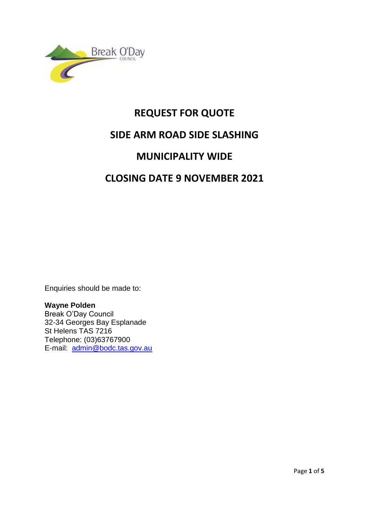

# **REQUEST FOR QUOTE SIDE ARM ROAD SIDE SLASHING MUNICIPALITY WIDE CLOSING DATE 9 NOVEMBER 2021**

Enquiries should be made to:

**Wayne Polden** Break O'Day Council 32-34 Georges Bay Esplanade St Helens TAS 7216 Telephone: (03)63767900 E-mail: [admin@bodc.tas.gov.au](mailto:admin@bodc.tas.gov.au)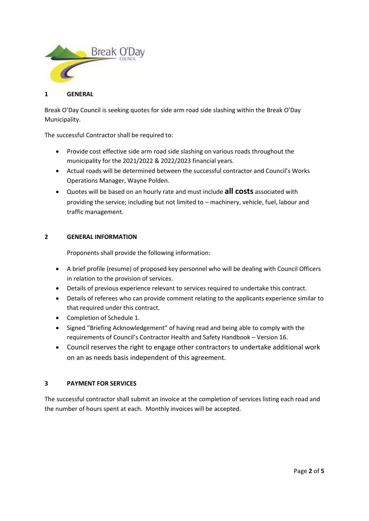

#### **1 GENERAL**

Break O'Day Council is seeking quotes for side arm road side slashing within the Break O'Day Municipality.

The successful Contractor shall be required to:

- Provide cost effective side arm road side slashing on various roads throughout the municipality for the 2021/2022 & 2022/2023 financial years.
- Actual roads will be determined between the successful contractor and Council's Works Operations Manager, Wayne Polden.
- Quotes will be based on an hourly rate and must include **all costs** associated with providing the service; including but not limited to – machinery, vehicle, fuel, labour and traffic management.

#### **2 GENERAL INFORMATION**

Proponents shall provide the following information:

- A brief profile (resume) of proposed key personnel who will be dealing with Council Officers in relation to the provision of services.
- Details of previous experience relevant to services required to undertake this contract.
- Details of referees who can provide comment relating to the applicants experience similar to that required under this contract.
- Completion of Schedule 1.
- Signed "Briefing Acknowledgement" of having read and being able to comply with the requirements of Council's Contractor Health and Safety Handbook – Version 16.
- Council reserves the right to engage other contractors to undertake additional work on an as needs basis independent of this agreement.

### **3 PAYMENT FOR SERVICES**

The successful contractor shall submit an invoice at the completion of services listing each road and the number of hours spent at each. Monthly invoices will be accepted.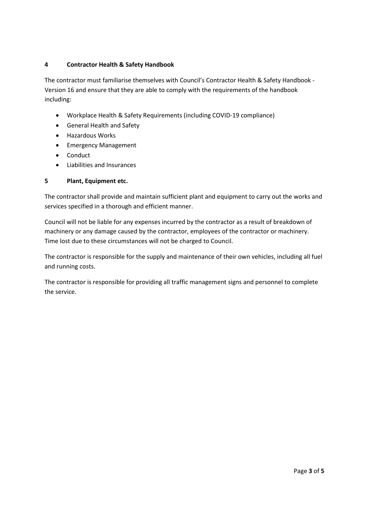## **4 Contractor Health & Safety Handbook**

The contractor must familiarise themselves with Council's Contractor Health & Safety Handbook - Version 16 and ensure that they are able to comply with the requirements of the handbook including:

- Workplace Health & Safety Requirements (including COVID-19 compliance)
- General Health and Safety
- Hazardous Works
- Emergency Management
- Conduct
- Liabilities and Insurances

## **5 Plant, Equipment etc.**

The contractor shall provide and maintain sufficient plant and equipment to carry out the works and services specified in a thorough and efficient manner.

Council will not be liable for any expenses incurred by the contractor as a result of breakdown of machinery or any damage caused by the contractor, employees of the contractor or machinery. Time lost due to these circumstances will not be charged to Council.

The contractor is responsible for the supply and maintenance of their own vehicles, including all fuel and running costs.

The contractor is responsible for providing all traffic management signs and personnel to complete the service.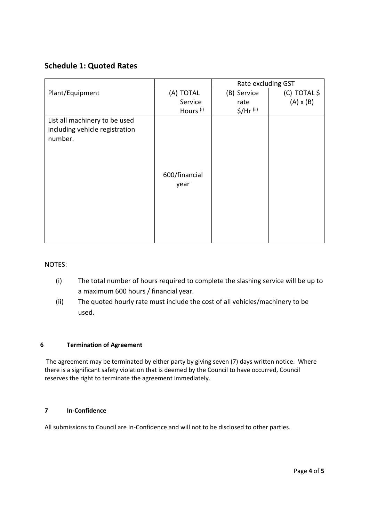# **Schedule 1: Quoted Rates**

|                                                                            |                       | Rate excluding GST |                  |
|----------------------------------------------------------------------------|-----------------------|--------------------|------------------|
| Plant/Equipment                                                            | (A) TOTAL             | (B) Service        | (C) TOTAL \$     |
|                                                                            | Service               | rate               | $(A) \times (B)$ |
|                                                                            | Hours <sup>(i)</sup>  | $$/$ Hr $(i)$      |                  |
| List all machinery to be used<br>including vehicle registration<br>number. | 600/financial<br>year |                    |                  |

NOTES:

- (i) The total number of hours required to complete the slashing service will be up to a maximum 600 hours / financial year.
- (ii) The quoted hourly rate must include the cost of all vehicles/machinery to be used.

#### **6 Termination of Agreement**

The agreement may be terminated by either party by giving seven (7) days written notice. Where there is a significant safety violation that is deemed by the Council to have occurred, Council reserves the right to terminate the agreement immediately.

## **7 In-Confidence**

All submissions to Council are In-Confidence and will not to be disclosed to other parties.